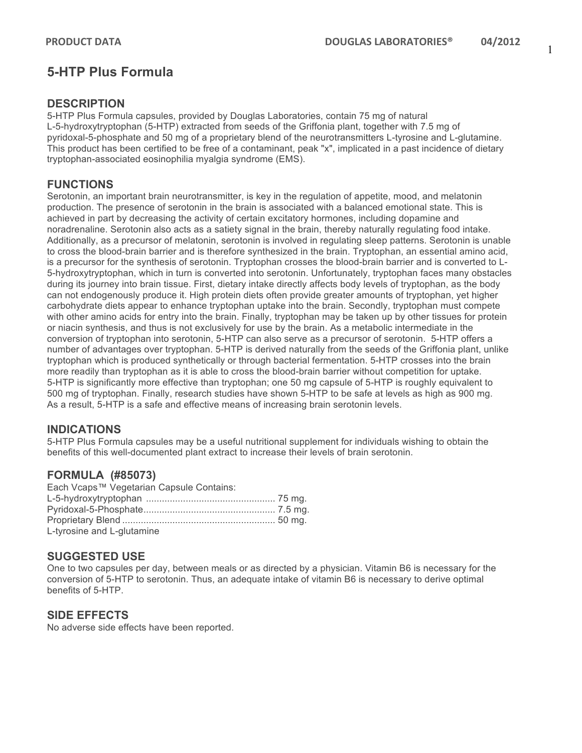# **5-HTP Plus Formula**

### **DESCRIPTION**

5-HTP Plus Formula capsules, provided by Douglas Laboratories, contain 75 mg of natural L-5-hydroxytryptophan (5-HTP) extracted from seeds of the Griffonia plant, together with 7.5 mg of pyridoxal-5-phosphate and 50 mg of a proprietary blend of the neurotransmitters L-tyrosine and L-glutamine. This product has been certified to be free of a contaminant, peak "x", implicated in a past incidence of dietary tryptophan-associated eosinophilia myalgia syndrome (EMS).

## **FUNCTIONS**

Serotonin, an important brain neurotransmitter, is key in the regulation of appetite, mood, and melatonin production. The presence of serotonin in the brain is associated with a balanced emotional state. This is achieved in part by decreasing the activity of certain excitatory hormones, including dopamine and noradrenaline. Serotonin also acts as a satiety signal in the brain, thereby naturally regulating food intake. Additionally, as a precursor of melatonin, serotonin is involved in regulating sleep patterns. Serotonin is unable to cross the blood-brain barrier and is therefore synthesized in the brain. Tryptophan, an essential amino acid, is a precursor for the synthesis of serotonin. Tryptophan crosses the blood-brain barrier and is converted to L-5-hydroxytryptophan, which in turn is converted into serotonin. Unfortunately, tryptophan faces many obstacles during its journey into brain tissue. First, dietary intake directly affects body levels of tryptophan, as the body can not endogenously produce it. High protein diets often provide greater amounts of tryptophan, yet higher carbohydrate diets appear to enhance tryptophan uptake into the brain. Secondly, tryptophan must compete with other amino acids for entry into the brain. Finally, tryptophan may be taken up by other tissues for protein or niacin synthesis, and thus is not exclusively for use by the brain. As a metabolic intermediate in the conversion of tryptophan into serotonin, 5-HTP can also serve as a precursor of serotonin. 5-HTP offers a number of advantages over tryptophan. 5-HTP is derived naturally from the seeds of the Griffonia plant, unlike tryptophan which is produced synthetically or through bacterial fermentation. 5-HTP crosses into the brain more readily than tryptophan as it is able to cross the blood-brain barrier without competition for uptake. 5-HTP is significantly more effective than tryptophan; one 50 mg capsule of 5-HTP is roughly equivalent to 500 mg of tryptophan. Finally, research studies have shown 5-HTP to be safe at levels as high as 900 mg. As a result, 5-HTP is a safe and effective means of increasing brain serotonin levels.

## **INDICATIONS**

5-HTP Plus Formula capsules may be a useful nutritional supplement for individuals wishing to obtain the benefits of this well-documented plant extract to increase their levels of brain serotonin.

## **FORMULA (#85073)**

| Each Vcaps™ Vegetarian Capsule Contains: |  |
|------------------------------------------|--|
|                                          |  |
|                                          |  |
|                                          |  |
| L-tyrosine and L-glutamine               |  |

## **SUGGESTED USE**

One to two capsules per day, between meals or as directed by a physician. Vitamin B6 is necessary for the conversion of 5-HTP to serotonin. Thus, an adequate intake of vitamin B6 is necessary to derive optimal benefits of 5-HTP.

#### **SIDE EFFECTS**

No adverse side effects have been reported.